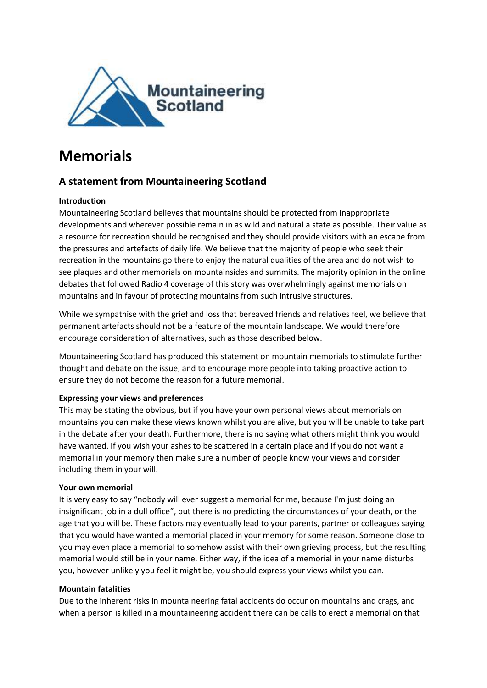

# **Memorials**

# **A statement from Mountaineering Scotland**

# **Introduction**

Mountaineering Scotland believes that mountains should be protected from inappropriate developments and wherever possible remain in as wild and natural a state as possible. Their value as a resource for recreation should be recognised and they should provide visitors with an escape from the pressures and artefacts of daily life. We believe that the majority of people who seek their recreation in the mountains go there to enjoy the natural qualities of the area and do not wish to see plaques and other memorials on mountainsides and summits. The majority opinion in the online debates that followed Radio 4 coverage of this story was overwhelmingly against memorials on mountains and in favour of protecting mountains from such intrusive structures.

While we sympathise with the grief and loss that bereaved friends and relatives feel, we believe that permanent artefacts should not be a feature of the mountain landscape. We would therefore encourage consideration of alternatives, such as those described below.

Mountaineering Scotland has produced this statement on mountain memorials to stimulate further thought and debate on the issue, and to encourage more people into taking proactive action to ensure they do not become the reason for a future memorial.

## **Expressing your views and preferences**

This may be stating the obvious, but if you have your own personal views about memorials on mountains you can make these views known whilst you are alive, but you will be unable to take part in the debate after your death. Furthermore, there is no saying what others might think you would have wanted. If you wish your ashes to be scattered in a certain place and if you do not want a memorial in your memory then make sure a number of people know your views and consider including them in your will.

## **Your own memorial**

It is very easy to say "nobody will ever suggest a memorial for me, because I'm just doing an insignificant job in a dull office", but there is no predicting the circumstances of your death, or the age that you will be. These factors may eventually lead to your parents, partner or colleagues saying that you would have wanted a memorial placed in your memory for some reason. Someone close to you may even place a memorial to somehow assist with their own grieving process, but the resulting memorial would still be in your name. Either way, if the idea of a memorial in your name disturbs you, however unlikely you feel it might be, you should express your views whilst you can.

#### **Mountain fatalities**

Due to the inherent risks in mountaineering fatal accidents do occur on mountains and crags, and when a person is killed in a mountaineering accident there can be calls to erect a memorial on that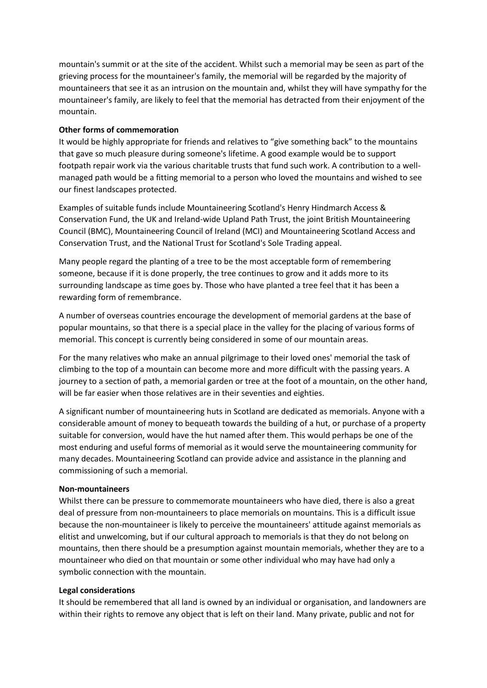mountain's summit or at the site of the accident. Whilst such a memorial may be seen as part of the grieving process for the mountaineer's family, the memorial will be regarded by the majority of mountaineers that see it as an intrusion on the mountain and, whilst they will have sympathy for the mountaineer's family, are likely to feel that the memorial has detracted from their enjoyment of the mountain.

#### **Other forms of commemoration**

It would be highly appropriate for friends and relatives to "give something back" to the mountains that gave so much pleasure during someone's lifetime. A good example would be to support footpath repair work via the various charitable trusts that fund such work. A contribution to a wellmanaged path would be a fitting memorial to a person who loved the mountains and wished to see our finest landscapes protected.

Examples of suitable funds include Mountaineering Scotland's Henry Hindmarch Access & Conservation Fund, the UK and Ireland-wide Upland Path Trust, the joint British Mountaineering Council (BMC), Mountaineering Council of Ireland (MCI) and Mountaineering Scotland Access and Conservation Trust, and the National Trust for Scotland's Sole Trading appeal.

Many people regard the planting of a tree to be the most acceptable form of remembering someone, because if it is done properly, the tree continues to grow and it adds more to its surrounding landscape as time goes by. Those who have planted a tree feel that it has been a rewarding form of remembrance.

A number of overseas countries encourage the development of memorial gardens at the base of popular mountains, so that there is a special place in the valley for the placing of various forms of memorial. This concept is currently being considered in some of our mountain areas.

For the many relatives who make an annual pilgrimage to their loved ones' memorial the task of climbing to the top of a mountain can become more and more difficult with the passing years. A journey to a section of path, a memorial garden or tree at the foot of a mountain, on the other hand, will be far easier when those relatives are in their seventies and eighties.

A significant number of mountaineering huts in Scotland are dedicated as memorials. Anyone with a considerable amount of money to bequeath towards the building of a hut, or purchase of a property suitable for conversion, would have the hut named after them. This would perhaps be one of the most enduring and useful forms of memorial as it would serve the mountaineering community for many decades. Mountaineering Scotland can provide advice and assistance in the planning and commissioning of such a memorial.

#### **Non-mountaineers**

Whilst there can be pressure to commemorate mountaineers who have died, there is also a great deal of pressure from non-mountaineers to place memorials on mountains. This is a difficult issue because the non-mountaineer is likely to perceive the mountaineers' attitude against memorials as elitist and unwelcoming, but if our cultural approach to memorials is that they do not belong on mountains, then there should be a presumption against mountain memorials, whether they are to a mountaineer who died on that mountain or some other individual who may have had only a symbolic connection with the mountain.

#### **Legal considerations**

It should be remembered that all land is owned by an individual or organisation, and landowners are within their rights to remove any object that is left on their land. Many private, public and not for